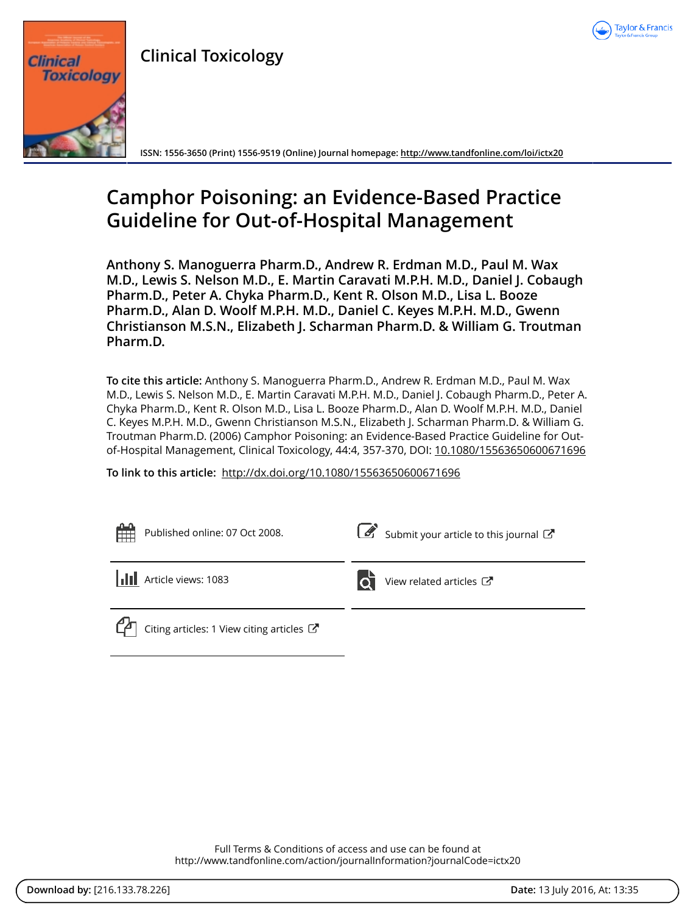

**Clinical Toxicology**



**ISSN: 1556-3650 (Print) 1556-9519 (Online) Journal homepage:<http://www.tandfonline.com/loi/ictx20>**

# **Camphor Poisoning: an Evidence-Based Practice Guideline for Out-of-Hospital Management**

**Anthony S. Manoguerra Pharm.D., Andrew R. Erdman M.D., Paul M. Wax M.D., Lewis S. Nelson M.D., E. Martin Caravati M.P.H. M.D., Daniel J. Cobaugh Pharm.D., Peter A. Chyka Pharm.D., Kent R. Olson M.D., Lisa L. Booze Pharm.D., Alan D. Woolf M.P.H. M.D., Daniel C. Keyes M.P.H. M.D., Gwenn Christianson M.S.N., Elizabeth J. Scharman Pharm.D. & William G. Troutman Pharm.D.**

**To cite this article:** Anthony S. Manoguerra Pharm.D., Andrew R. Erdman M.D., Paul M. Wax M.D., Lewis S. Nelson M.D., E. Martin Caravati M.P.H. M.D., Daniel J. Cobaugh Pharm.D., Peter A. Chyka Pharm.D., Kent R. Olson M.D., Lisa L. Booze Pharm.D., Alan D. Woolf M.P.H. M.D., Daniel C. Keyes M.P.H. M.D., Gwenn Christianson M.S.N., Elizabeth J. Scharman Pharm.D. & William G. Troutman Pharm.D. (2006) Camphor Poisoning: an Evidence-Based Practice Guideline for Outof-Hospital Management, Clinical Toxicology, 44:4, 357-370, DOI: [10.1080/15563650600671696](http://www.tandfonline.com/action/showCitFormats?doi=10.1080/15563650600671696)

**To link to this article:** <http://dx.doi.org/10.1080/15563650600671696>



Full Terms & Conditions of access and use can be found at <http://www.tandfonline.com/action/journalInformation?journalCode=ictx20>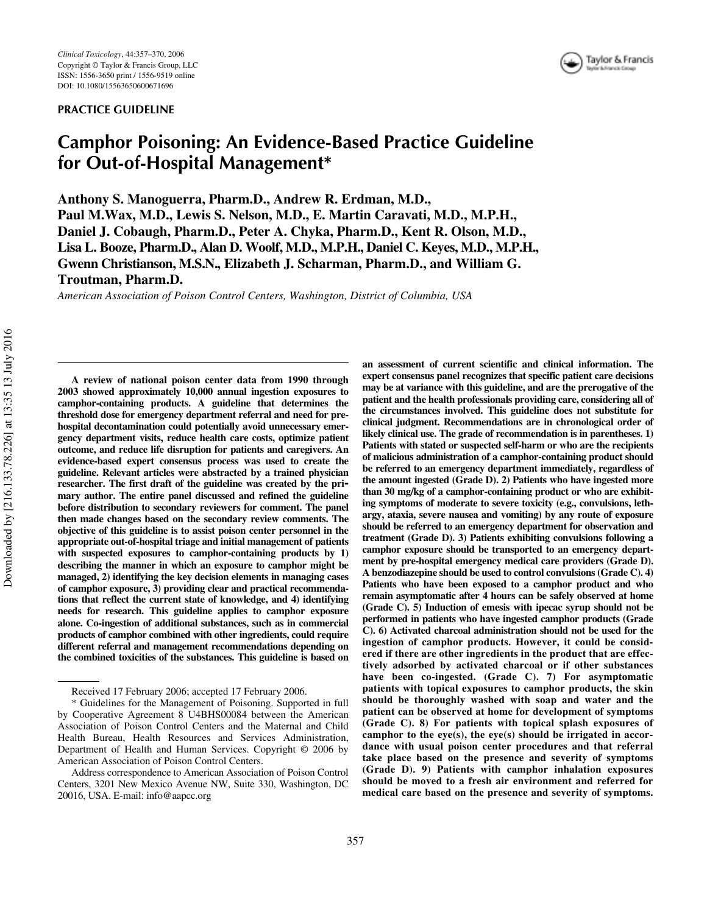#### **PRACTICE GUIDELINE**



## **Camphor Poisoning: An Evidence-Based Practice Guideline for Out-of-Hospital Management\***

Anthony S. Manoguerra, Pharm.D., Andrew R. Erdman, M.D.,

**Paul M.Wax, M.D., Lewis S. Nelson, M.D., E. Martin Caravati, M.D., M.P.H., Daniel J. Cobaugh, Pharm.D., Peter A. Chyka, Pharm.D., Kent R. Olson, M.D., Lisa L. Booze, Pharm.D., Alan D. Woolf, M.D., M.P.H., Daniel C. Keyes, M.D., M.P.H., Gwenn Christianson, M.S.N., Elizabeth J. Scharman, Pharm.D., and William G. Troutman, Pharm.D.**

*American Association of Poison Control Centers, Washington, District of Columbia, USA*

**A review of national poison center data from 1990 through 2003 showed approximately 10,000 annual ingestion exposures to camphor-containing products. A guideline that determines the threshold dose for emergency department referral and need for prehospital decontamination could potentially avoid unnecessary emergency department visits, reduce health care costs, optimize patient outcome, and reduce life disruption for patients and caregivers. An evidence-based expert consensus process was used to create the guideline. Relevant articles were abstracted by a trained physician researcher. The first draft of the guideline was created by the primary author. The entire panel discussed and refined the guideline before distribution to secondary reviewers for comment. The panel then made changes based on the secondary review comments. The objective of this guideline is to assist poison center personnel in the appropriate out-of-hospital triage and initial management of patients with suspected exposures to camphor-containing products by 1) describing the manner in which an exposure to camphor might be managed, 2) identifying the key decision elements in managing cases of camphor exposure, 3) providing clear and practical recommendations that reflect the current state of knowledge, and 4) identifying needs for research. This guideline applies to camphor exposure alone. Co-ingestion of additional substances, such as in commercial products of camphor combined with other ingredients, could require different referral and management recommendations depending on the combined toxicities of the substances. This guideline is based on**

**an assessment of current scientific and clinical information. The expert consensus panel recognizes that specific patient care decisions may be at variance with this guideline, and are the prerogative of the patient and the health professionals providing care, considering all of the circumstances involved. This guideline does not substitute for clinical judgment. Recommendations are in chronological order of likely clinical use. The grade of recommendation is in parentheses. 1) Patients with stated or suspected self-harm or who are the recipients of malicious administration of a camphor-containing product should be referred to an emergency department immediately, regardless of the amount ingested (Grade D). 2) Patients who have ingested more than 30 mg/kg of a camphor-containing product or who are exhibiting symptoms of moderate to severe toxicity (e.g., convulsions, lethargy, ataxia, severe nausea and vomiting) by any route of exposure should be referred to an emergency department for observation and treatment (Grade D). 3) Patients exhibiting convulsions following a camphor exposure should be transported to an emergency department by pre-hospital emergency medical care providers (Grade D). A benzodiazepine should be used to control convulsions (Grade C). 4) Patients who have been exposed to a camphor product and who remain asymptomatic after 4 hours can be safely observed at home (Grade C). 5) Induction of emesis with ipecac syrup should not be performed in patients who have ingested camphor products (Grade C). 6) Activated charcoal administration should not be used for the ingestion of camphor products. However, it could be considered if there are other ingredients in the product that are effectively adsorbed by activated charcoal or if other substances have been co-ingested. (Grade C). 7) For asymptomatic patients with topical exposures to camphor products, the skin should be thoroughly washed with soap and water and the patient can be observed at home for development of symptoms (Grade C). 8) For patients with topical splash exposures of camphor to the eye(s), the eye(s) should be irrigated in accordance with usual poison center procedures and that referral take place based on the presence and severity of symptoms (Grade D). 9) Patients with camphor inhalation exposures should be moved to a fresh air environment and referred for medical care based on the presence and severity of symptoms.**

Received 17 February 2006; accepted 17 February 2006.

<sup>\*</sup> Guidelines for the Management of Poisoning. Supported in full by Cooperative Agreement 8 U4BHS00084 between the American Association of Poison Control Centers and the Maternal and Child Health Bureau, Health Resources and Services Administration, Department of Health and Human Services. Copyright © 2006 by American Association of Poison Control Centers.

Address correspondence to American Association of Poison Control Centers, 3201 New Mexico Avenue NW, Suite 330, Washington, DC 20016, USA. E-mail: info@aapcc.org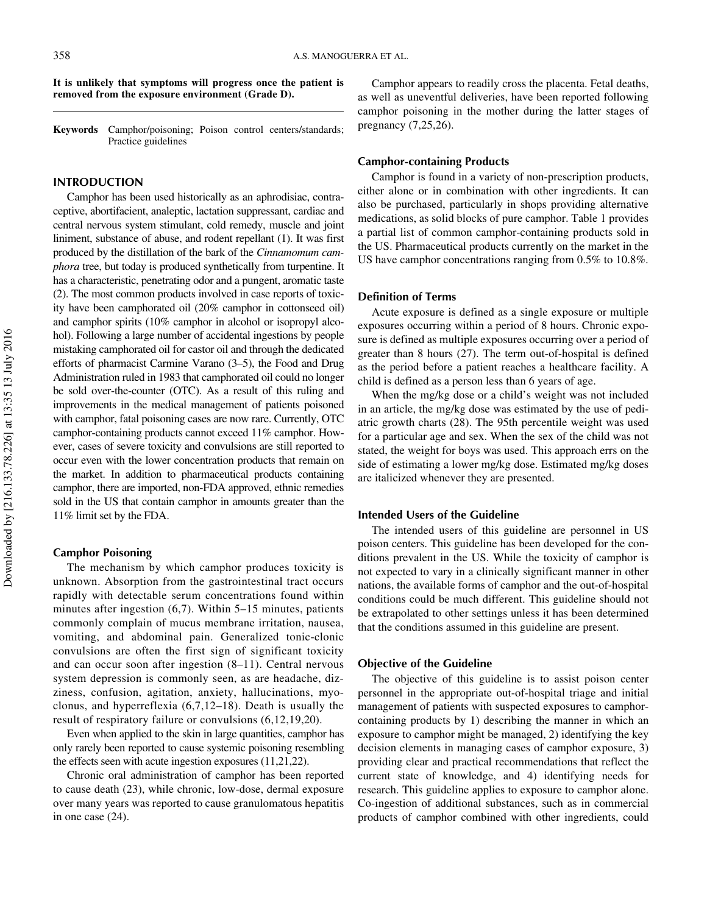**It is unlikely that symptoms will progress once the patient is removed from the exposure environment (Grade D).**

**Keywords** Camphor/poisoning; Poison control centers/standards; Practice guidelines

### **INTRODUCTION**

Camphor has been used historically as an aphrodisiac, contraceptive, abortifacient, analeptic, lactation suppressant, cardiac and central nervous system stimulant, cold remedy, muscle and joint liniment, substance of abuse, and rodent repellant (1). It was first produced by the distillation of the bark of the *Cinnamomum camphora* tree, but today is produced synthetically from turpentine. It has a characteristic, penetrating odor and a pungent, aromatic taste (2). The most common products involved in case reports of toxicity have been camphorated oil (20% camphor in cottonseed oil) and camphor spirits (10% camphor in alcohol or isopropyl alcohol). Following a large number of accidental ingestions by people mistaking camphorated oil for castor oil and through the dedicated efforts of pharmacist Carmine Varano (3–5), the Food and Drug Administration ruled in 1983 that camphorated oil could no longer be sold over-the-counter (OTC). As a result of this ruling and improvements in the medical management of patients poisoned with camphor, fatal poisoning cases are now rare. Currently, OTC camphor-containing products cannot exceed 11% camphor. However, cases of severe toxicity and convulsions are still reported to occur even with the lower concentration products that remain on the market. In addition to pharmaceutical products containing camphor, there are imported, non-FDA approved, ethnic remedies sold in the US that contain camphor in amounts greater than the 11% limit set by the FDA.

### **Camphor Poisoning**

The mechanism by which camphor produces toxicity is unknown. Absorption from the gastrointestinal tract occurs rapidly with detectable serum concentrations found within minutes after ingestion (6,7). Within 5–15 minutes, patients commonly complain of mucus membrane irritation, nausea, vomiting, and abdominal pain. Generalized tonic-clonic convulsions are often the first sign of significant toxicity and can occur soon after ingestion (8–11). Central nervous system depression is commonly seen, as are headache, dizziness, confusion, agitation, anxiety, hallucinations, myoclonus, and hyperreflexia (6,7,12–18). Death is usually the result of respiratory failure or convulsions (6,12,19,20).

Even when applied to the skin in large quantities, camphor has only rarely been reported to cause systemic poisoning resembling the effects seen with acute ingestion exposures (11,21,22).

Chronic oral administration of camphor has been reported to cause death (23), while chronic, low-dose, dermal exposure over many years was reported to cause granulomatous hepatitis in one case (24).

Camphor appears to readily cross the placenta. Fetal deaths, as well as uneventful deliveries, have been reported following camphor poisoning in the mother during the latter stages of pregnancy (7,25,26).

### **Camphor-containing Products**

Camphor is found in a variety of non-prescription products, either alone or in combination with other ingredients. It can also be purchased, particularly in shops providing alternative medications, as solid blocks of pure camphor. Table 1 provides a partial list of common camphor-containing products sold in the US. Pharmaceutical products currently on the market in the US have camphor concentrations ranging from 0.5% to 10.8%.

### **Definition of Terms**

Acute exposure is defined as a single exposure or multiple exposures occurring within a period of 8 hours. Chronic exposure is defined as multiple exposures occurring over a period of greater than 8 hours (27). The term out-of-hospital is defined as the period before a patient reaches a healthcare facility. A child is defined as a person less than 6 years of age.

When the mg/kg dose or a child's weight was not included in an article, the mg/kg dose was estimated by the use of pediatric growth charts (28). The 95th percentile weight was used for a particular age and sex. When the sex of the child was not stated, the weight for boys was used. This approach errs on the side of estimating a lower mg/kg dose. Estimated mg/kg doses are italicized whenever they are presented.

### **Intended Users of the Guideline**

The intended users of this guideline are personnel in US poison centers. This guideline has been developed for the conditions prevalent in the US. While the toxicity of camphor is not expected to vary in a clinically significant manner in other nations, the available forms of camphor and the out-of-hospital conditions could be much different. This guideline should not be extrapolated to other settings unless it has been determined that the conditions assumed in this guideline are present.

### **Objective of the Guideline**

The objective of this guideline is to assist poison center personnel in the appropriate out-of-hospital triage and initial management of patients with suspected exposures to camphorcontaining products by 1) describing the manner in which an exposure to camphor might be managed, 2) identifying the key decision elements in managing cases of camphor exposure, 3) providing clear and practical recommendations that reflect the current state of knowledge, and 4) identifying needs for research. This guideline applies to exposure to camphor alone. Co-ingestion of additional substances, such as in commercial products of camphor combined with other ingredients, could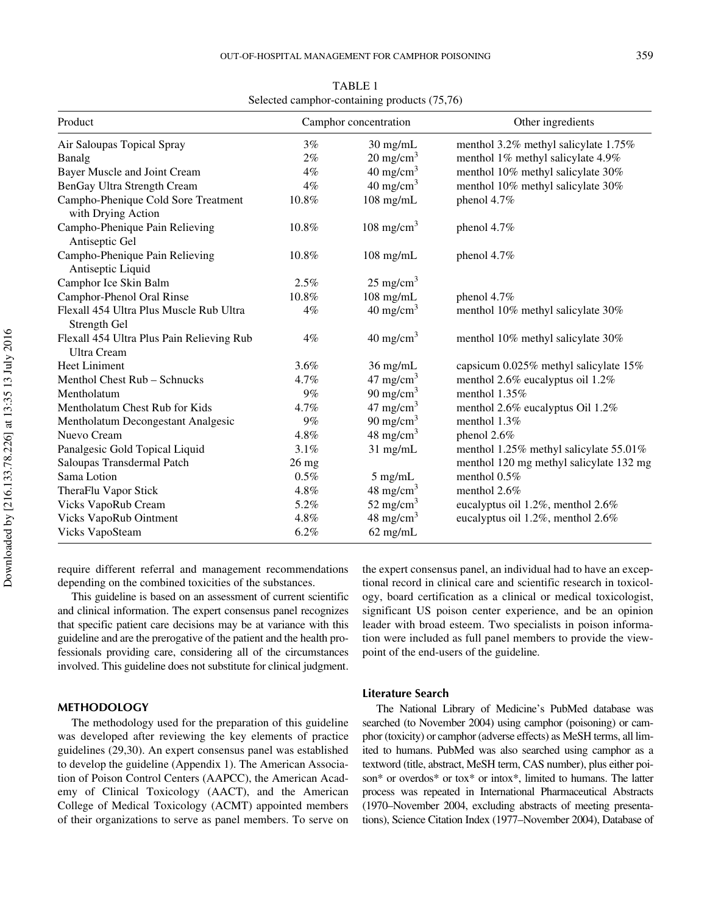| Product                                                         | Camphor concentration |                          | Other ingredients                       |  |
|-----------------------------------------------------------------|-----------------------|--------------------------|-----------------------------------------|--|
| Air Saloupas Topical Spray                                      | $3\%$                 | $30$ mg/mL               | menthol 3.2% methyl salicylate 1.75%    |  |
| Banalg                                                          | $2\%$                 | $20 \text{ mg/cm}^3$     | menthol 1% methyl salicylate 4.9%       |  |
| Bayer Muscle and Joint Cream                                    | $4\%$                 | $40 \text{ mg/cm}^3$     | menthol 10% methyl salicylate 30%       |  |
| BenGay Ultra Strength Cream                                     | $4\%$                 | $40 \text{ mg/cm}^3$     | menthol 10% methyl salicylate 30%       |  |
| Campho-Phenique Cold Sore Treatment<br>with Drying Action       | 10.8%                 | $108$ mg/mL              | phenol 4.7%                             |  |
| Campho-Phenique Pain Relieving<br>Antiseptic Gel                | 10.8%                 | $108$ mg/cm <sup>3</sup> | phenol 4.7%                             |  |
| Campho-Phenique Pain Relieving<br>Antiseptic Liquid             | 10.8%                 | $108$ mg/mL              | phenol 4.7%                             |  |
| Camphor Ice Skin Balm                                           | 2.5%                  | $25 \text{ mg/cm}^3$     |                                         |  |
| Camphor-Phenol Oral Rinse                                       | 10.8%                 | $108$ mg/mL              | phenol 4.7%                             |  |
| Flexall 454 Ultra Plus Muscle Rub Ultra<br>Strength Gel         | $4\%$                 | $40 \text{ mg/cm}^3$     | menthol 10% methyl salicylate 30%       |  |
| Flexall 454 Ultra Plus Pain Relieving Rub<br><b>Ultra Cream</b> | $4\%$                 | $40 \text{ mg/cm}^3$     | menthol 10% methyl salicylate 30%       |  |
| <b>Heet Liniment</b>                                            | 3.6%                  | 36 mg/mL                 | capsicum 0.025% methyl salicylate 15%   |  |
| Menthol Chest Rub - Schnucks                                    | 4.7%                  | $47 \text{ mg/cm}^3$     | menthol 2.6% eucalyptus oil 1.2%        |  |
| Mentholatum                                                     | 9%                    | 90 mg/cm <sup>3</sup>    | menthol $1.35\%$                        |  |
| Mentholatum Chest Rub for Kids                                  | 4.7%                  | $47 \text{ mg/cm}^3$     | menthol 2.6% eucalyptus Oil 1.2%        |  |
| Mentholatum Decongestant Analgesic                              | $9\%$                 | 90 mg/cm <sup>3</sup>    | menthol $1.3\%$                         |  |
| Nuevo Cream                                                     | 4.8%                  | $48 \text{ mg/cm}^3$     | phenol 2.6%                             |  |
| Panalgesic Gold Topical Liquid                                  | 3.1%                  | $31$ mg/mL               | menthol 1.25% methyl salicylate 55.01%  |  |
| Saloupas Transdermal Patch                                      | $26$ mg               |                          | menthol 120 mg methyl salicylate 132 mg |  |
| Sama Lotion                                                     | $0.5\%$               | 5 mg/mL                  | menthol 0.5%                            |  |
| TheraFlu Vapor Stick                                            | 4.8%                  | $48 \text{ mg/cm}^3$     | menthol 2.6%                            |  |
| Vicks VapoRub Cream                                             | 5.2%                  | $52 \text{ mg/cm}^3$     | eucalyptus oil 1.2%, menthol 2.6%       |  |
| Vicks VapoRub Ointment                                          | 4.8%                  | $48 \text{ mg/cm}^3$     | eucalyptus oil 1.2%, menthol 2.6%       |  |
| Vicks VapoSteam                                                 | 6.2%                  | $62$ mg/mL               |                                         |  |

TABLE 1 Selected camphor-containing products (75,76)

require different referral and management recommendations depending on the combined toxicities of the substances.

This guideline is based on an assessment of current scientific and clinical information. The expert consensus panel recognizes that specific patient care decisions may be at variance with this guideline and are the prerogative of the patient and the health professionals providing care, considering all of the circumstances involved. This guideline does not substitute for clinical judgment.

### **METHODOLOGY**

The methodology used for the preparation of this guideline was developed after reviewing the key elements of practice guidelines (29,30). An expert consensus panel was established to develop the guideline (Appendix 1). The American Association of Poison Control Centers (AAPCC), the American Academy of Clinical Toxicology (AACT), and the American College of Medical Toxicology (ACMT) appointed members of their organizations to serve as panel members. To serve on

the expert consensus panel, an individual had to have an exceptional record in clinical care and scientific research in toxicology, board certification as a clinical or medical toxicologist, significant US poison center experience, and be an opinion leader with broad esteem. Two specialists in poison information were included as full panel members to provide the viewpoint of the end-users of the guideline.

### **Literature Search**

The National Library of Medicine's PubMed database was searched (to November 2004) using camphor (poisoning) or camphor (toxicity) or camphor (adverse effects) as MeSH terms, all limited to humans. PubMed was also searched using camphor as a textword (title, abstract, MeSH term, CAS number), plus either poison\* or overdos\* or tox\* or intox\*, limited to humans. The latter process was repeated in International Pharmaceutical Abstracts (1970–November 2004, excluding abstracts of meeting presentations), Science Citation Index (1977–November 2004), Database of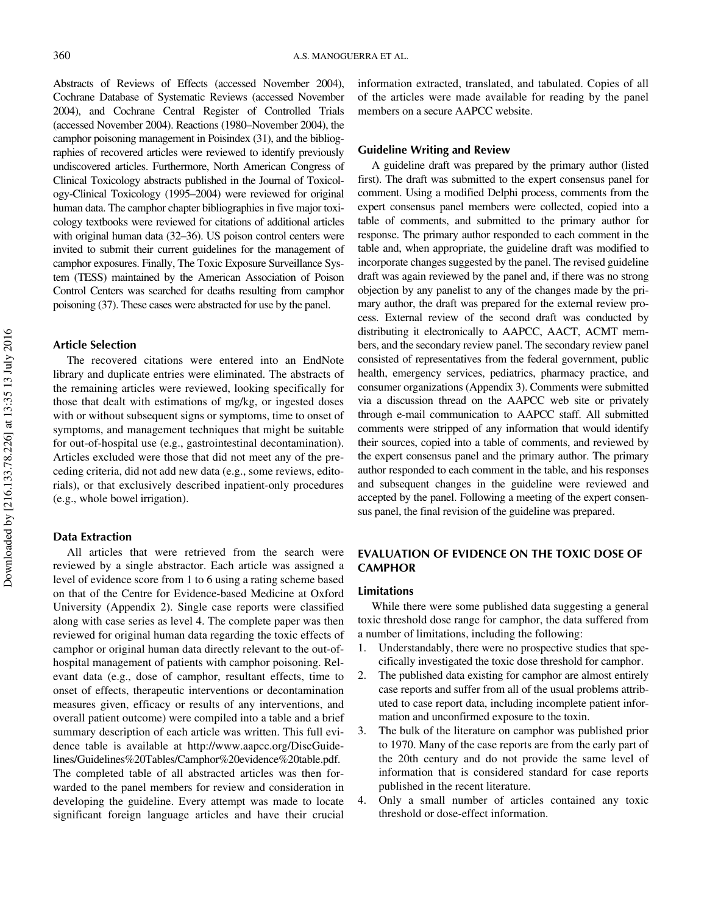Abstracts of Reviews of Effects (accessed November 2004), Cochrane Database of Systematic Reviews (accessed November 2004), and Cochrane Central Register of Controlled Trials (accessed November 2004). Reactions (1980–November 2004), the camphor poisoning management in Poisindex (31), and the bibliographies of recovered articles were reviewed to identify previously undiscovered articles. Furthermore, North American Congress of Clinical Toxicology abstracts published in the Journal of Toxicology-Clinical Toxicology (1995–2004) were reviewed for original human data. The camphor chapter bibliographies in five major toxicology textbooks were reviewed for citations of additional articles with original human data (32–36). US poison control centers were invited to submit their current guidelines for the management of camphor exposures. Finally, The Toxic Exposure Surveillance System (TESS) maintained by the American Association of Poison Control Centers was searched for deaths resulting from camphor poisoning (37). These cases were abstracted for use by the panel.

### **Article Selection**

The recovered citations were entered into an EndNote library and duplicate entries were eliminated. The abstracts of the remaining articles were reviewed, looking specifically for those that dealt with estimations of mg/kg, or ingested doses with or without subsequent signs or symptoms, time to onset of symptoms, and management techniques that might be suitable for out-of-hospital use (e.g., gastrointestinal decontamination). Articles excluded were those that did not meet any of the preceding criteria, did not add new data (e.g., some reviews, editorials), or that exclusively described inpatient-only procedures (e.g., whole bowel irrigation).

### **Data Extraction**

All articles that were retrieved from the search were reviewed by a single abstractor. Each article was assigned a level of evidence score from 1 to 6 using a rating scheme based on that of the Centre for Evidence-based Medicine at Oxford University (Appendix 2). Single case reports were classified along with case series as level 4. The complete paper was then reviewed for original human data regarding the toxic effects of camphor or original human data directly relevant to the out-ofhospital management of patients with camphor poisoning. Relevant data (e.g., dose of camphor, resultant effects, time to onset of effects, therapeutic interventions or decontamination measures given, efficacy or results of any interventions, and overall patient outcome) were compiled into a table and a brief summary description of each article was written. This full evidence table is available at http://www.aapcc.org/DiscGuidelines/Guidelines%20Tables/Camphor%20evidence%20table.pdf. The completed table of all abstracted articles was then forwarded to the panel members for review and consideration in developing the guideline. Every attempt was made to locate significant foreign language articles and have their crucial

information extracted, translated, and tabulated. Copies of all of the articles were made available for reading by the panel members on a secure AAPCC website.

### **Guideline Writing and Review**

A guideline draft was prepared by the primary author (listed first). The draft was submitted to the expert consensus panel for comment. Using a modified Delphi process, comments from the expert consensus panel members were collected, copied into a table of comments, and submitted to the primary author for response. The primary author responded to each comment in the table and, when appropriate, the guideline draft was modified to incorporate changes suggested by the panel. The revised guideline draft was again reviewed by the panel and, if there was no strong objection by any panelist to any of the changes made by the primary author, the draft was prepared for the external review process. External review of the second draft was conducted by distributing it electronically to AAPCC, AACT, ACMT members, and the secondary review panel. The secondary review panel consisted of representatives from the federal government, public health, emergency services, pediatrics, pharmacy practice, and consumer organizations (Appendix 3). Comments were submitted via a discussion thread on the AAPCC web site or privately through e-mail communication to AAPCC staff. All submitted comments were stripped of any information that would identify their sources, copied into a table of comments, and reviewed by the expert consensus panel and the primary author. The primary author responded to each comment in the table, and his responses and subsequent changes in the guideline were reviewed and accepted by the panel. Following a meeting of the expert consensus panel, the final revision of the guideline was prepared.

### **EVALUATION OF EVIDENCE ON THE TOXIC DOSE OF CAMPHOR**

### **Limitations**

While there were some published data suggesting a general toxic threshold dose range for camphor, the data suffered from a number of limitations, including the following:

- 1. Understandably, there were no prospective studies that specifically investigated the toxic dose threshold for camphor.
- 2. The published data existing for camphor are almost entirely case reports and suffer from all of the usual problems attributed to case report data, including incomplete patient information and unconfirmed exposure to the toxin.
- 3. The bulk of the literature on camphor was published prior to 1970. Many of the case reports are from the early part of the 20th century and do not provide the same level of information that is considered standard for case reports published in the recent literature.
- 4. Only a small number of articles contained any toxic threshold or dose-effect information.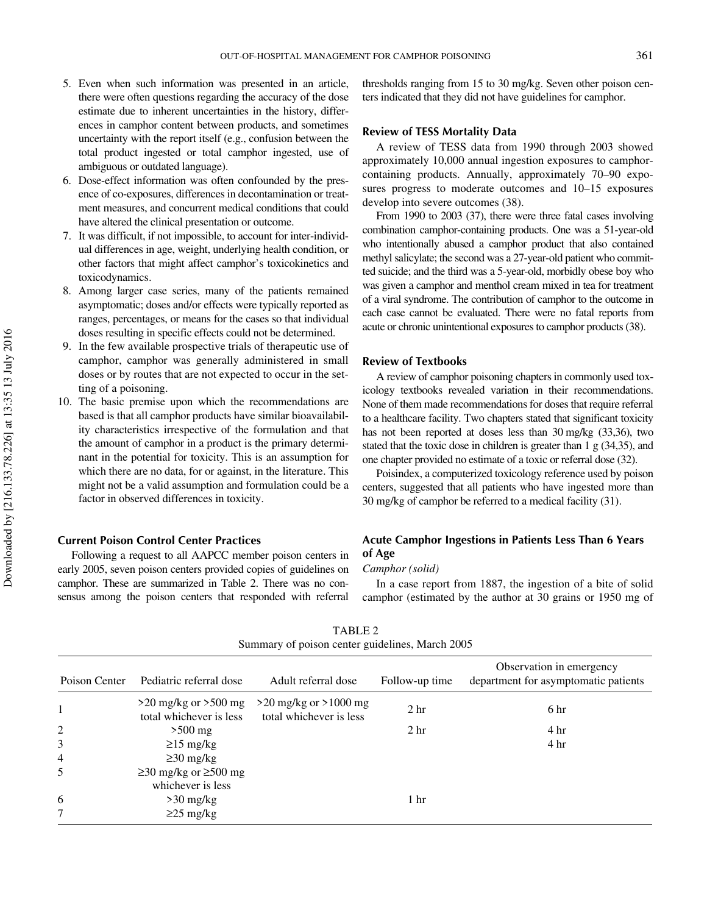- 5. Even when such information was presented in an article, there were often questions regarding the accuracy of the dose estimate due to inherent uncertainties in the history, differences in camphor content between products, and sometimes uncertainty with the report itself (e.g., confusion between the total product ingested or total camphor ingested, use of ambiguous or outdated language).
- 6. Dose-effect information was often confounded by the presence of co-exposures, differences in decontamination or treatment measures, and concurrent medical conditions that could have altered the clinical presentation or outcome.
- 7. It was difficult, if not impossible, to account for inter-individual differences in age, weight, underlying health condition, or other factors that might affect camphor's toxicokinetics and toxicodynamics.
- 8. Among larger case series, many of the patients remained asymptomatic; doses and/or effects were typically reported as ranges, percentages, or means for the cases so that individual doses resulting in specific effects could not be determined.
- 9. In the few available prospective trials of therapeutic use of camphor, camphor was generally administered in small doses or by routes that are not expected to occur in the setting of a poisoning.
- 10. The basic premise upon which the recommendations are based is that all camphor products have similar bioavailability characteristics irrespective of the formulation and that the amount of camphor in a product is the primary determinant in the potential for toxicity. This is an assumption for which there are no data, for or against, in the literature. This might not be a valid assumption and formulation could be a factor in observed differences in toxicity.

### **Current Poison Control Center Practices**

Following a request to all AAPCC member poison centers in early 2005, seven poison centers provided copies of guidelines on camphor. These are summarized in Table 2. There was no consensus among the poison centers that responded with referral thresholds ranging from 15 to 30 mg/kg. Seven other poison centers indicated that they did not have guidelines for camphor.

### **Review of TESS Mortality Data**

A review of TESS data from 1990 through 2003 showed approximately 10,000 annual ingestion exposures to camphorcontaining products. Annually, approximately 70–90 exposures progress to moderate outcomes and 10–15 exposures develop into severe outcomes (38).

From 1990 to 2003 (37), there were three fatal cases involving combination camphor-containing products. One was a 51-year-old who intentionally abused a camphor product that also contained methyl salicylate; the second was a 27-year-old patient who committed suicide; and the third was a 5-year-old, morbidly obese boy who was given a camphor and menthol cream mixed in tea for treatment of a viral syndrome. The contribution of camphor to the outcome in each case cannot be evaluated. There were no fatal reports from acute or chronic unintentional exposures to camphor products (38).

#### **Review of Textbooks**

A review of camphor poisoning chapters in commonly used toxicology textbooks revealed variation in their recommendations. None of them made recommendations for doses that require referral to a healthcare facility. Two chapters stated that significant toxicity has not been reported at doses less than 30 mg/kg (33,36), two stated that the toxic dose in children is greater than 1 g (34,35), and one chapter provided no estimate of a toxic or referral dose (32).

Poisindex, a computerized toxicology reference used by poison centers, suggested that all patients who have ingested more than 30 mg/kg of camphor be referred to a medical facility (31).

### **Acute Camphor Ingestions in Patients Less Than 6 Years of Age**

#### *Camphor (solid)*

In a case report from 1887, the ingestion of a bite of solid camphor (estimated by the author at 30 grains or 1950 mg of

| Poison Center | Pediatric referral dose                               | Adult referral dose                                    | Follow-up time  | Observation in emergency<br>department for asymptomatic patients |
|---------------|-------------------------------------------------------|--------------------------------------------------------|-----------------|------------------------------------------------------------------|
|               | $>$ 20 mg/kg or $>$ 500 mg<br>total whichever is less | $>$ 20 mg/kg or $>$ 1000 mg<br>total whichever is less | 2 <sub>hr</sub> | 6 hr                                                             |
| 2             | $>500$ mg                                             |                                                        | 2 <sub>hr</sub> | 4 <sup>hr</sup>                                                  |
| 3             | $\geq$ 15 mg/kg                                       |                                                        |                 | 4 <sup>hr</sup>                                                  |
| 4             | $\geq$ 30 mg/kg                                       |                                                        |                 |                                                                  |
| 5             | $\geq$ 30 mg/kg or $\geq$ 500 mg<br>whichever is less |                                                        |                 |                                                                  |
| 6             | $>30$ mg/kg                                           |                                                        | 1 <sub>hr</sub> |                                                                  |
| 7             | $\geq$ 25 mg/kg                                       |                                                        |                 |                                                                  |

TABLE 2 Summary of poison center guidelines, March 2005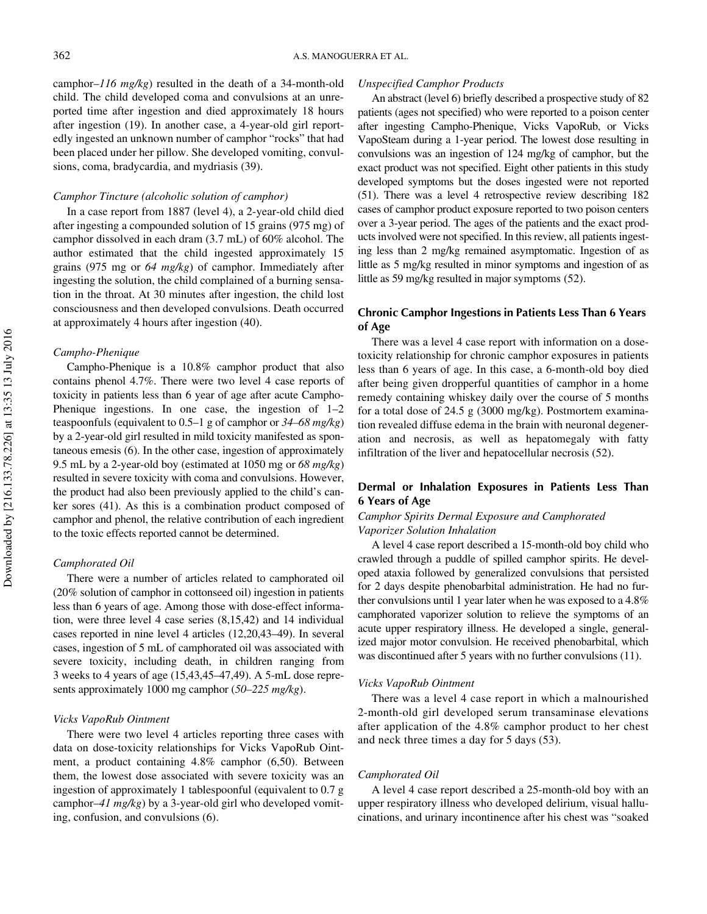camphor–*116 mg/kg*) resulted in the death of a 34-month-old child. The child developed coma and convulsions at an unreported time after ingestion and died approximately 18 hours after ingestion (19). In another case, a 4-year-old girl reportedly ingested an unknown number of camphor "rocks" that had been placed under her pillow. She developed vomiting, convulsions, coma, bradycardia, and mydriasis (39).

### *Camphor Tincture (alcoholic solution of camphor)*

In a case report from 1887 (level 4), a 2-year-old child died after ingesting a compounded solution of 15 grains (975 mg) of camphor dissolved in each dram (3.7 mL) of 60% alcohol. The author estimated that the child ingested approximately 15 grains (975 mg or *64 mg/kg*) of camphor. Immediately after ingesting the solution, the child complained of a burning sensation in the throat. At 30 minutes after ingestion, the child lost consciousness and then developed convulsions. Death occurred at approximately 4 hours after ingestion (40).

### *Campho-Phenique*

Campho-Phenique is a 10.8% camphor product that also contains phenol 4.7%. There were two level 4 case reports of toxicity in patients less than 6 year of age after acute Campho-Phenique ingestions. In one case, the ingestion of 1–2 teaspoonfuls (equivalent to 0.5–1 g of camphor or *34–68 mg/kg*) by a 2-year-old girl resulted in mild toxicity manifested as spontaneous emesis (6). In the other case, ingestion of approximately 9.5 mL by a 2-year-old boy (estimated at 1050 mg or *68 mg/kg*) resulted in severe toxicity with coma and convulsions. However, the product had also been previously applied to the child's canker sores (41). As this is a combination product composed of camphor and phenol, the relative contribution of each ingredient to the toxic effects reported cannot be determined.

### *Camphorated Oil*

There were a number of articles related to camphorated oil (20% solution of camphor in cottonseed oil) ingestion in patients less than 6 years of age. Among those with dose-effect information, were three level 4 case series (8,15,42) and 14 individual cases reported in nine level 4 articles (12,20,43–49). In several cases, ingestion of 5 mL of camphorated oil was associated with severe toxicity, including death, in children ranging from 3 weeks to 4 years of age (15,43,45–47,49). A 5-mL dose represents approximately 1000 mg camphor (*50–225 mg/kg*).

### *Vicks VapoRub Ointment*

There were two level 4 articles reporting three cases with data on dose-toxicity relationships for Vicks VapoRub Ointment, a product containing 4.8% camphor (6,50). Between them, the lowest dose associated with severe toxicity was an ingestion of approximately 1 tablespoonful (equivalent to 0.7 g camphor–*41 mg/kg*) by a 3-year-old girl who developed vomiting, confusion, and convulsions (6).

#### *Unspecified Camphor Products*

An abstract (level 6) briefly described a prospective study of 82 patients (ages not specified) who were reported to a poison center after ingesting Campho-Phenique, Vicks VapoRub, or Vicks VapoSteam during a 1-year period. The lowest dose resulting in convulsions was an ingestion of 124 mg/kg of camphor, but the exact product was not specified. Eight other patients in this study developed symptoms but the doses ingested were not reported (51). There was a level 4 retrospective review describing 182 cases of camphor product exposure reported to two poison centers over a 3-year period. The ages of the patients and the exact products involved were not specified. In this review, all patients ingesting less than 2 mg/kg remained asymptomatic. Ingestion of as little as 5 mg/kg resulted in minor symptoms and ingestion of as little as 59 mg/kg resulted in major symptoms (52).

### **Chronic Camphor Ingestions in Patients Less Than 6 Years of Age**

There was a level 4 case report with information on a dosetoxicity relationship for chronic camphor exposures in patients less than 6 years of age. In this case, a 6-month-old boy died after being given dropperful quantities of camphor in a home remedy containing whiskey daily over the course of 5 months for a total dose of 24.5 g (3000 mg/kg). Postmortem examination revealed diffuse edema in the brain with neuronal degeneration and necrosis, as well as hepatomegaly with fatty infiltration of the liver and hepatocellular necrosis (52).

### **Dermal or Inhalation Exposures in Patients Less Than 6 Years of Age**

### *Camphor Spirits Dermal Exposure and Camphorated Vaporizer Solution Inhalation*

A level 4 case report described a 15-month-old boy child who crawled through a puddle of spilled camphor spirits. He developed ataxia followed by generalized convulsions that persisted for 2 days despite phenobarbital administration. He had no further convulsions until 1 year later when he was exposed to a 4.8% camphorated vaporizer solution to relieve the symptoms of an acute upper respiratory illness. He developed a single, generalized major motor convulsion. He received phenobarbital, which was discontinued after 5 years with no further convulsions (11).

### *Vicks VapoRub Ointment*

There was a level 4 case report in which a malnourished 2-month-old girl developed serum transaminase elevations after application of the 4.8% camphor product to her chest and neck three times a day for 5 days (53).

### *Camphorated Oil*

A level 4 case report described a 25-month-old boy with an upper respiratory illness who developed delirium, visual hallucinations, and urinary incontinence after his chest was "soaked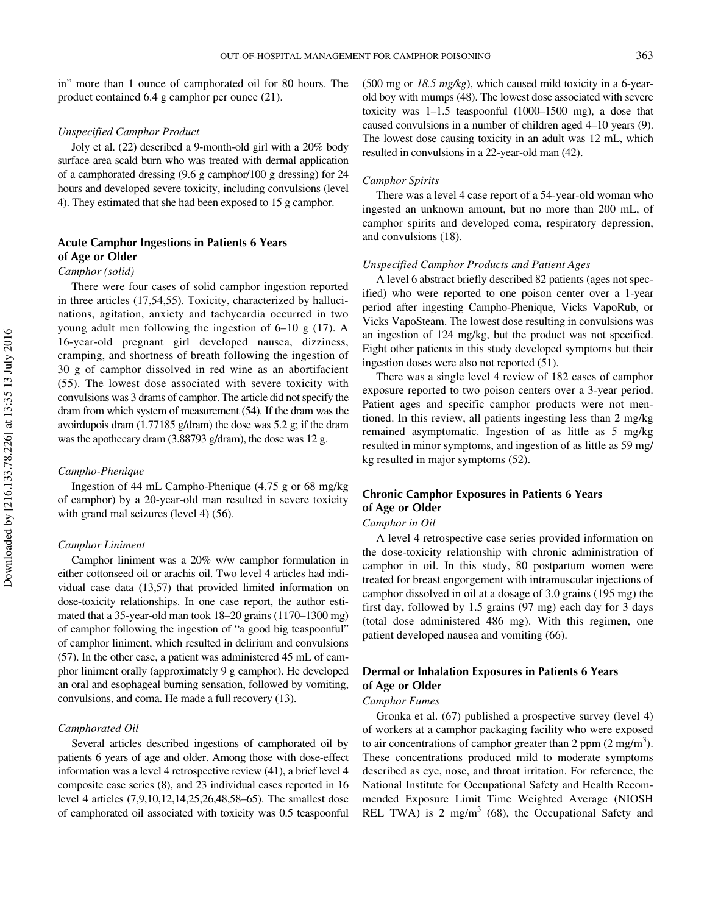in" more than 1 ounce of camphorated oil for 80 hours. The product contained 6.4 g camphor per ounce (21).

#### *Unspecified Camphor Product*

Joly et al. (22) described a 9-month-old girl with a 20% body surface area scald burn who was treated with dermal application of a camphorated dressing (9.6 g camphor/100 g dressing) for 24 hours and developed severe toxicity, including convulsions (level 4). They estimated that she had been exposed to 15 g camphor.

### **Acute Camphor Ingestions in Patients 6 Years of Age or Older**

### *Camphor (solid)*

There were four cases of solid camphor ingestion reported in three articles (17,54,55). Toxicity, characterized by hallucinations, agitation, anxiety and tachycardia occurred in two young adult men following the ingestion of 6–10 g (17). A 16-year-old pregnant girl developed nausea, dizziness, cramping, and shortness of breath following the ingestion of 30 g of camphor dissolved in red wine as an abortifacient (55). The lowest dose associated with severe toxicity with convulsions was 3 drams of camphor. The article did not specify the dram from which system of measurement (54). If the dram was the avoirdupois dram (1.77185 g/dram) the dose was 5.2 g; if the dram was the apothecary dram (3.88793 g/dram), the dose was 12 g.

#### *Campho-Phenique*

Ingestion of 44 mL Campho-Phenique (4.75 g or 68 mg/kg of camphor) by a 20-year-old man resulted in severe toxicity with grand mal seizures (level 4) (56).

### *Camphor Liniment*

Camphor liniment was a 20% w/w camphor formulation in either cottonseed oil or arachis oil. Two level 4 articles had individual case data (13,57) that provided limited information on dose-toxicity relationships. In one case report, the author estimated that a 35-year-old man took 18–20 grains (1170–1300 mg) of camphor following the ingestion of "a good big teaspoonful" of camphor liniment, which resulted in delirium and convulsions (57). In the other case, a patient was administered 45 mL of camphor liniment orally (approximately 9 g camphor). He developed an oral and esophageal burning sensation, followed by vomiting, convulsions, and coma. He made a full recovery (13).

### *Camphorated Oil*

Several articles described ingestions of camphorated oil by patients 6 years of age and older. Among those with dose-effect information was a level 4 retrospective review (41), a brief level 4 composite case series (8), and 23 individual cases reported in 16 level 4 articles (7,9,10,12,14,25,26,48,58–65). The smallest dose of camphorated oil associated with toxicity was 0.5 teaspoonful (500 mg or *18.5 mg/kg*), which caused mild toxicity in a 6-yearold boy with mumps (48). The lowest dose associated with severe toxicity was 1–1.5 teaspoonful (1000–1500 mg), a dose that caused convulsions in a number of children aged 4–10 years (9). The lowest dose causing toxicity in an adult was 12 mL, which resulted in convulsions in a 22-year-old man (42).

#### *Camphor Spirits*

There was a level 4 case report of a 54-year-old woman who ingested an unknown amount, but no more than 200 mL, of camphor spirits and developed coma, respiratory depression, and convulsions (18).

### *Unspecified Camphor Products and Patient Ages*

A level 6 abstract briefly described 82 patients (ages not specified) who were reported to one poison center over a 1-year period after ingesting Campho-Phenique, Vicks VapoRub, or Vicks VapoSteam. The lowest dose resulting in convulsions was an ingestion of 124 mg/kg, but the product was not specified. Eight other patients in this study developed symptoms but their ingestion doses were also not reported (51).

There was a single level 4 review of 182 cases of camphor exposure reported to two poison centers over a 3-year period. Patient ages and specific camphor products were not mentioned. In this review, all patients ingesting less than 2 mg/kg remained asymptomatic. Ingestion of as little as 5 mg/kg resulted in minor symptoms, and ingestion of as little as 59 mg/ kg resulted in major symptoms (52).

### **Chronic Camphor Exposures in Patients 6 Years of Age or Older**

#### *Camphor in Oil*

A level 4 retrospective case series provided information on the dose-toxicity relationship with chronic administration of camphor in oil. In this study, 80 postpartum women were treated for breast engorgement with intramuscular injections of camphor dissolved in oil at a dosage of 3.0 grains (195 mg) the first day, followed by 1.5 grains (97 mg) each day for 3 days (total dose administered 486 mg). With this regimen, one patient developed nausea and vomiting (66).

### **Dermal or Inhalation Exposures in Patients 6 Years of Age or Older**

### *Camphor Fumes*

Gronka et al. (67) published a prospective survey (level 4) of workers at a camphor packaging facility who were exposed to air concentrations of camphor greater than 2 ppm  $(2 \text{ mg/m}^3)$ . These concentrations produced mild to moderate symptoms described as eye, nose, and throat irritation. For reference, the National Institute for Occupational Safety and Health Recommended Exposure Limit Time Weighted Average (NIOSH REL TWA) is 2 mg/m<sup>3</sup> (68), the Occupational Safety and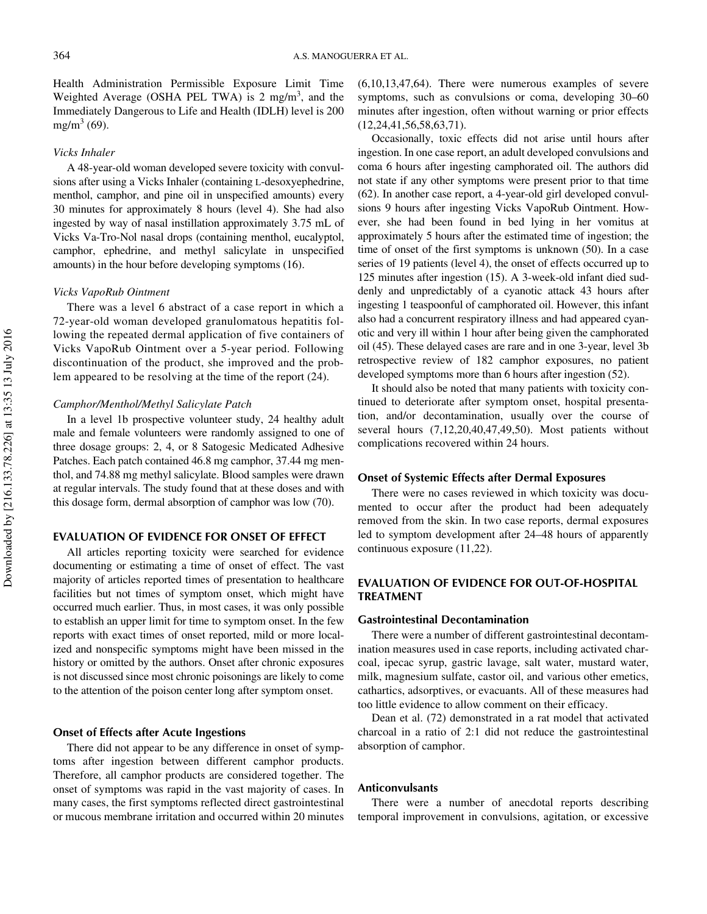Health Administration Permissible Exposure Limit Time Weighted Average (OSHA PEL TWA) is 2 mg/m<sup>3</sup>, and the Immediately Dangerous to Life and Health (IDLH) level is 200  $mg/m<sup>3</sup>$  (69).

### *Vicks Inhaler*

A 48-year-old woman developed severe toxicity with convulsions after using a Vicks Inhaler (containing L-desoxyephedrine, menthol, camphor, and pine oil in unspecified amounts) every 30 minutes for approximately 8 hours (level 4). She had also ingested by way of nasal instillation approximately 3.75 mL of Vicks Va-Tro-Nol nasal drops (containing menthol, eucalyptol, camphor, ephedrine, and methyl salicylate in unspecified amounts) in the hour before developing symptoms (16).

### *Vicks VapoRub Ointment*

There was a level 6 abstract of a case report in which a 72-year-old woman developed granulomatous hepatitis following the repeated dermal application of five containers of Vicks VapoRub Ointment over a 5-year period. Following discontinuation of the product, she improved and the problem appeared to be resolving at the time of the report (24).

#### *Camphor/Menthol/Methyl Salicylate Patch*

In a level 1b prospective volunteer study, 24 healthy adult male and female volunteers were randomly assigned to one of three dosage groups: 2, 4, or 8 Satogesic Medicated Adhesive Patches. Each patch contained 46.8 mg camphor, 37.44 mg menthol, and 74.88 mg methyl salicylate. Blood samples were drawn at regular intervals. The study found that at these doses and with this dosage form, dermal absorption of camphor was low (70).

### **EVALUATION OF EVIDENCE FOR ONSET OF EFFECT**

All articles reporting toxicity were searched for evidence documenting or estimating a time of onset of effect. The vast majority of articles reported times of presentation to healthcare facilities but not times of symptom onset, which might have occurred much earlier. Thus, in most cases, it was only possible to establish an upper limit for time to symptom onset. In the few reports with exact times of onset reported, mild or more localized and nonspecific symptoms might have been missed in the history or omitted by the authors. Onset after chronic exposures is not discussed since most chronic poisonings are likely to come to the attention of the poison center long after symptom onset.

### **Onset of Effects after Acute Ingestions**

There did not appear to be any difference in onset of symptoms after ingestion between different camphor products. Therefore, all camphor products are considered together. The onset of symptoms was rapid in the vast majority of cases. In many cases, the first symptoms reflected direct gastrointestinal or mucous membrane irritation and occurred within 20 minutes

(6,10,13,47,64). There were numerous examples of severe symptoms, such as convulsions or coma, developing 30–60 minutes after ingestion, often without warning or prior effects (12,24,41,56,58,63,71).

Occasionally, toxic effects did not arise until hours after ingestion. In one case report, an adult developed convulsions and coma 6 hours after ingesting camphorated oil. The authors did not state if any other symptoms were present prior to that time (62). In another case report, a 4-year-old girl developed convulsions 9 hours after ingesting Vicks VapoRub Ointment. However, she had been found in bed lying in her vomitus at approximately 5 hours after the estimated time of ingestion; the time of onset of the first symptoms is unknown (50). In a case series of 19 patients (level 4), the onset of effects occurred up to 125 minutes after ingestion (15). A 3-week-old infant died suddenly and unpredictably of a cyanotic attack 43 hours after ingesting 1 teaspoonful of camphorated oil. However, this infant also had a concurrent respiratory illness and had appeared cyanotic and very ill within 1 hour after being given the camphorated oil (45). These delayed cases are rare and in one 3-year, level 3b retrospective review of 182 camphor exposures, no patient developed symptoms more than 6 hours after ingestion (52).

It should also be noted that many patients with toxicity continued to deteriorate after symptom onset, hospital presentation, and/or decontamination, usually over the course of several hours (7,12,20,40,47,49,50). Most patients without complications recovered within 24 hours.

### **Onset of Systemic Effects after Dermal Exposures**

There were no cases reviewed in which toxicity was documented to occur after the product had been adequately removed from the skin. In two case reports, dermal exposures led to symptom development after 24–48 hours of apparently continuous exposure (11,22).

### **EVALUATION OF EVIDENCE FOR OUT-OF-HOSPITAL TREATMENT**

### **Gastrointestinal Decontamination**

There were a number of different gastrointestinal decontamination measures used in case reports, including activated charcoal, ipecac syrup, gastric lavage, salt water, mustard water, milk, magnesium sulfate, castor oil, and various other emetics, cathartics, adsorptives, or evacuants. All of these measures had too little evidence to allow comment on their efficacy.

Dean et al. (72) demonstrated in a rat model that activated charcoal in a ratio of 2:1 did not reduce the gastrointestinal absorption of camphor.

### **Anticonvulsants**

There were a number of anecdotal reports describing temporal improvement in convulsions, agitation, or excessive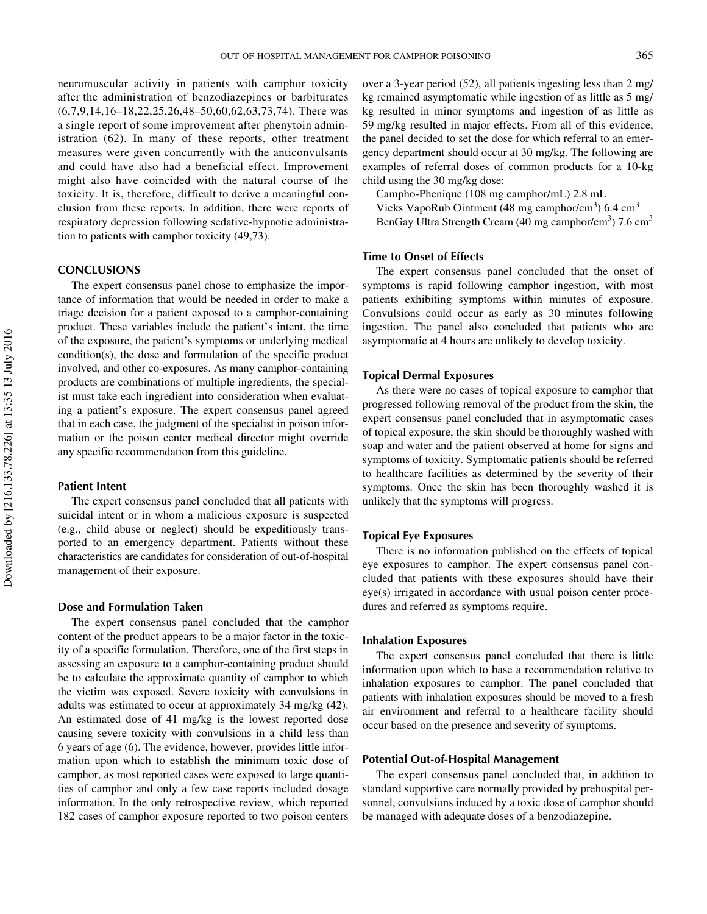neuromuscular activity in patients with camphor toxicity after the administration of benzodiazepines or barbiturates (6,7,9,14,16–18,22,25,26,48–50,60,62,63,73,74). There was a single report of some improvement after phenytoin administration (62). In many of these reports, other treatment measures were given concurrently with the anticonvulsants and could have also had a beneficial effect. Improvement might also have coincided with the natural course of the toxicity. It is, therefore, difficult to derive a meaningful conclusion from these reports. In addition, there were reports of respiratory depression following sedative-hypnotic administration to patients with camphor toxicity (49,73).

### **CONCLUSIONS**

The expert consensus panel chose to emphasize the importance of information that would be needed in order to make a triage decision for a patient exposed to a camphor-containing product. These variables include the patient's intent, the time of the exposure, the patient's symptoms or underlying medical condition(s), the dose and formulation of the specific product involved, and other co-exposures. As many camphor-containing products are combinations of multiple ingredients, the specialist must take each ingredient into consideration when evaluating a patient's exposure. The expert consensus panel agreed that in each case, the judgment of the specialist in poison information or the poison center medical director might override any specific recommendation from this guideline.

#### **Patient Intent**

The expert consensus panel concluded that all patients with suicidal intent or in whom a malicious exposure is suspected (e.g., child abuse or neglect) should be expeditiously transported to an emergency department. Patients without these characteristics are candidates for consideration of out-of-hospital management of their exposure.

#### **Dose and Formulation Taken**

The expert consensus panel concluded that the camphor content of the product appears to be a major factor in the toxicity of a specific formulation. Therefore, one of the first steps in assessing an exposure to a camphor-containing product should be to calculate the approximate quantity of camphor to which the victim was exposed. Severe toxicity with convulsions in adults was estimated to occur at approximately 34 mg/kg (42). An estimated dose of 41 mg/kg is the lowest reported dose causing severe toxicity with convulsions in a child less than 6 years of age (6). The evidence, however, provides little information upon which to establish the minimum toxic dose of camphor, as most reported cases were exposed to large quantities of camphor and only a few case reports included dosage information. In the only retrospective review, which reported 182 cases of camphor exposure reported to two poison centers

over a 3-year period (52), all patients ingesting less than 2 mg/ kg remained asymptomatic while ingestion of as little as 5 mg/ kg resulted in minor symptoms and ingestion of as little as 59 mg/kg resulted in major effects. From all of this evidence, the panel decided to set the dose for which referral to an emergency department should occur at 30 mg/kg. The following are examples of referral doses of common products for a 10-kg child using the 30 mg/kg dose:

Campho-Phenique (108 mg camphor/mL) 2.8 mL

Vicks VapoRub Ointment (48 mg camphor/cm<sup>3</sup>)  $6.4 \text{ cm}^3$ BenGay Ultra Strength Cream (40 mg camphor/cm $3$ ) 7.6 cm $^3$ 

### **Time to Onset of Effects**

The expert consensus panel concluded that the onset of symptoms is rapid following camphor ingestion, with most patients exhibiting symptoms within minutes of exposure. Convulsions could occur as early as 30 minutes following ingestion. The panel also concluded that patients who are asymptomatic at 4 hours are unlikely to develop toxicity.

### **Topical Dermal Exposures**

As there were no cases of topical exposure to camphor that progressed following removal of the product from the skin, the expert consensus panel concluded that in asymptomatic cases of topical exposure, the skin should be thoroughly washed with soap and water and the patient observed at home for signs and symptoms of toxicity. Symptomatic patients should be referred to healthcare facilities as determined by the severity of their symptoms. Once the skin has been thoroughly washed it is unlikely that the symptoms will progress.

#### **Topical Eye Exposures**

There is no information published on the effects of topical eye exposures to camphor. The expert consensus panel concluded that patients with these exposures should have their eye(s) irrigated in accordance with usual poison center procedures and referred as symptoms require.

### **Inhalation Exposures**

The expert consensus panel concluded that there is little information upon which to base a recommendation relative to inhalation exposures to camphor. The panel concluded that patients with inhalation exposures should be moved to a fresh air environment and referral to a healthcare facility should occur based on the presence and severity of symptoms.

### **Potential Out-of-Hospital Management**

The expert consensus panel concluded that, in addition to standard supportive care normally provided by prehospital personnel, convulsions induced by a toxic dose of camphor should be managed with adequate doses of a benzodiazepine.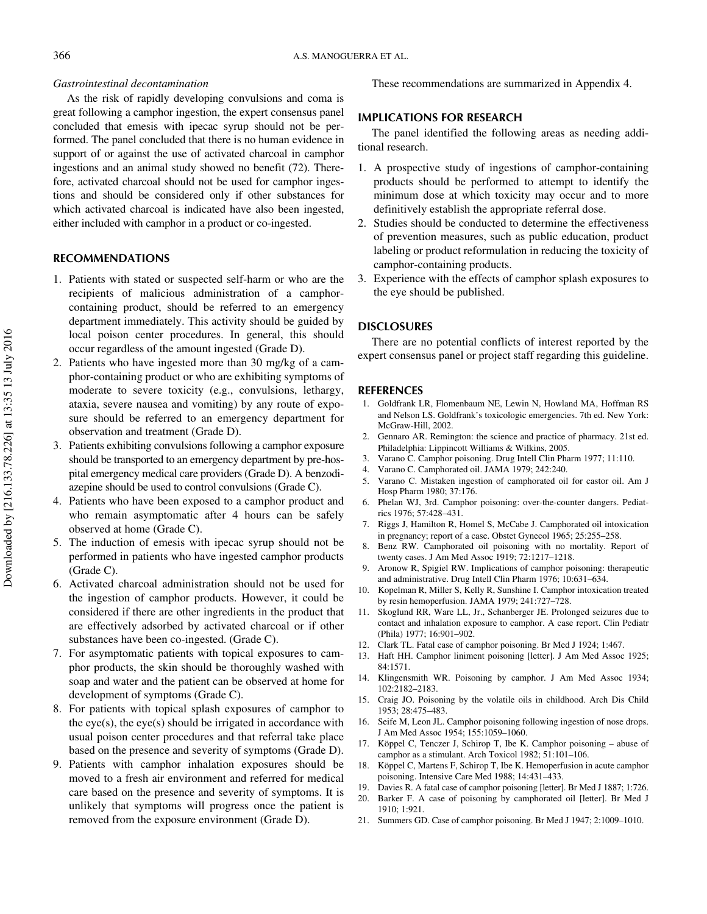### *Gastrointestinal decontamination*

As the risk of rapidly developing convulsions and coma is great following a camphor ingestion, the expert consensus panel concluded that emesis with ipecac syrup should not be performed. The panel concluded that there is no human evidence in support of or against the use of activated charcoal in camphor ingestions and an animal study showed no benefit (72). Therefore, activated charcoal should not be used for camphor ingestions and should be considered only if other substances for which activated charcoal is indicated have also been ingested, either included with camphor in a product or co-ingested.

### **RECOMMENDATIONS**

- 1. Patients with stated or suspected self-harm or who are the recipients of malicious administration of a camphorcontaining product, should be referred to an emergency department immediately. This activity should be guided by local poison center procedures. In general, this should occur regardless of the amount ingested (Grade D).
- 2. Patients who have ingested more than 30 mg/kg of a camphor-containing product or who are exhibiting symptoms of moderate to severe toxicity (e.g., convulsions, lethargy, ataxia, severe nausea and vomiting) by any route of exposure should be referred to an emergency department for observation and treatment (Grade D).
- 3. Patients exhibiting convulsions following a camphor exposure should be transported to an emergency department by pre-hospital emergency medical care providers (Grade D). A benzodiazepine should be used to control convulsions (Grade C).
- 4. Patients who have been exposed to a camphor product and who remain asymptomatic after 4 hours can be safely observed at home (Grade C).
- 5. The induction of emesis with ipecac syrup should not be performed in patients who have ingested camphor products (Grade C).
- 6. Activated charcoal administration should not be used for the ingestion of camphor products. However, it could be considered if there are other ingredients in the product that are effectively adsorbed by activated charcoal or if other substances have been co-ingested. (Grade C).
- 7. For asymptomatic patients with topical exposures to camphor products, the skin should be thoroughly washed with soap and water and the patient can be observed at home for development of symptoms (Grade C).
- 8. For patients with topical splash exposures of camphor to the  $eye(s)$ , the  $eye(s)$  should be irrigated in accordance with usual poison center procedures and that referral take place based on the presence and severity of symptoms (Grade D).
- 9. Patients with camphor inhalation exposures should be moved to a fresh air environment and referred for medical care based on the presence and severity of symptoms. It is unlikely that symptoms will progress once the patient is removed from the exposure environment (Grade D).

These recommendations are summarized in Appendix 4.

### **IMPLICATIONS FOR RESEARCH**

The panel identified the following areas as needing additional research.

- 1. A prospective study of ingestions of camphor-containing products should be performed to attempt to identify the minimum dose at which toxicity may occur and to more definitively establish the appropriate referral dose.
- 2. Studies should be conducted to determine the effectiveness of prevention measures, such as public education, product labeling or product reformulation in reducing the toxicity of camphor-containing products.
- 3. Experience with the effects of camphor splash exposures to the eye should be published.

### **DISCLOSURES**

There are no potential conflicts of interest reported by the expert consensus panel or project staff regarding this guideline.

#### **REFERENCES**

- 1. Goldfrank LR, Flomenbaum NE, Lewin N, Howland MA, Hoffman RS and Nelson LS. Goldfrank's toxicologic emergencies. 7th ed. New York: McGraw-Hill, 2002.
- 2. Gennaro AR. Remington: the science and practice of pharmacy. 21st ed. Philadelphia: Lippincott Williams & Wilkins, 2005.
- 3. Varano C. Camphor poisoning. Drug Intell Clin Pharm 1977; 11:110.
- 4. Varano C. Camphorated oil. JAMA 1979; 242:240.
- 5. Varano C. Mistaken ingestion of camphorated oil for castor oil. Am J Hosp Pharm 1980; 37:176.
- 6. Phelan WJ, 3rd. Camphor poisoning: over-the-counter dangers. Pediatrics 1976; 57:428–431.
- 7. Riggs J, Hamilton R, Homel S, McCabe J. Camphorated oil intoxication in pregnancy; report of a case. Obstet Gynecol 1965; 25:255–258.
- 8. Benz RW. Camphorated oil poisoning with no mortality. Report of twenty cases. J Am Med Assoc 1919; 72:1217–1218.
- 9. Aronow R, Spigiel RW. Implications of camphor poisoning: therapeutic and administrative. Drug Intell Clin Pharm 1976; 10:631–634.
- 10. Kopelman R, Miller S, Kelly R, Sunshine I. Camphor intoxication treated by resin hemoperfusion. JAMA 1979; 241:727–728.
- 11. Skoglund RR, Ware LL, Jr., Schanberger JE. Prolonged seizures due to contact and inhalation exposure to camphor. A case report. Clin Pediatr (Phila) 1977; 16:901–902.
- 12. Clark TL. Fatal case of camphor poisoning. Br Med J 1924; 1:467.
- 13. Haft HH. Camphor liniment poisoning [letter]. J Am Med Assoc 1925; 84:1571.
- 14. Klingensmith WR. Poisoning by camphor. J Am Med Assoc 1934; 102:2182–2183.
- 15. Craig JO. Poisoning by the volatile oils in childhood. Arch Dis Child 1953; 28:475–483.
- 16. Seife M, Leon JL. Camphor poisoning following ingestion of nose drops. J Am Med Assoc 1954; 155:1059–1060.
- 17. Köppel C, Tenczer J, Schirop T, Ibe K. Camphor poisoning abuse of camphor as a stimulant. Arch Toxicol 1982; 51:101–106.
- 18. Köppel C, Martens F, Schirop T, Ibe K. Hemoperfusion in acute camphor poisoning. Intensive Care Med 1988; 14:431–433.
- 19. Davies R. A fatal case of camphor poisoning [letter]. Br Med J 1887; 1:726.
- 20. Barker F. A case of poisoning by camphorated oil [letter]. Br Med J 1910; 1:921.
- 21. Summers GD. Case of camphor poisoning. Br Med J 1947; 2:1009–1010.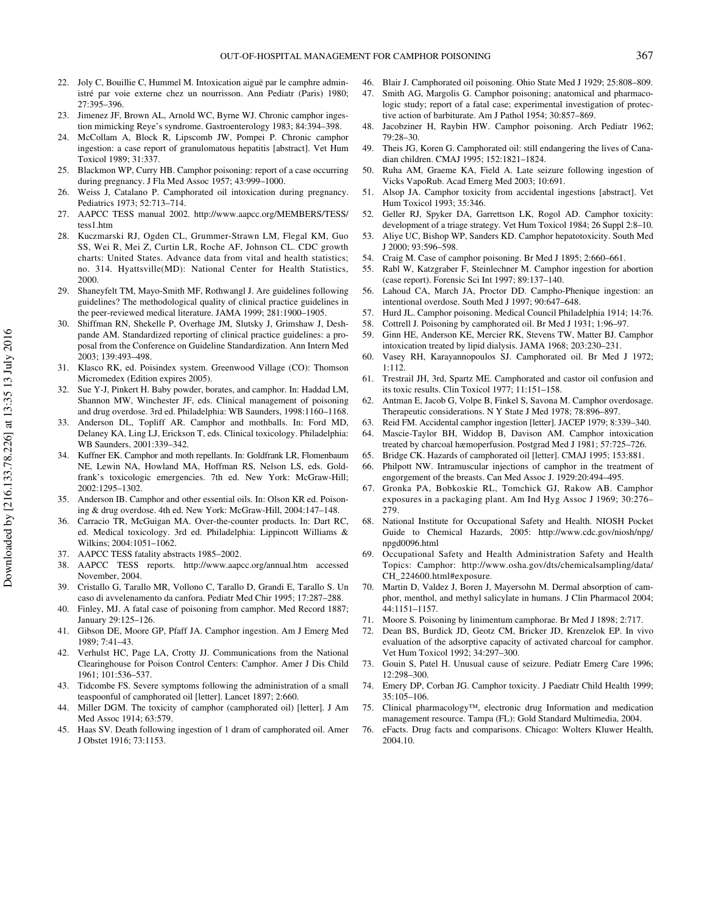- 22. Joly C, Bouillie C, Hummel M. Intoxication aiguë par le camphre administré par voie externe chez un nourrisson. Ann Pediatr (Paris) 1980; 27:395–396.
- 23. Jimenez JF, Brown AL, Arnold WC, Byrne WJ. Chronic camphor ingestion mimicking Reye's syndrome. Gastroenterology 1983; 84:394–398.
- 24. McCollam A, Block R, Lipscomb JW, Pompei P. Chronic camphor ingestion: a case report of granulomatous hepatitis [abstract]. Vet Hum Toxicol 1989; 31:337.
- 25. Blackmon WP, Curry HB. Camphor poisoning: report of a case occurring during pregnancy. J Fla Med Assoc 1957; 43:999–1000.
- 26. Weiss J, Catalano P. Camphorated oil intoxication during pregnancy. Pediatrics 1973; 52:713–714.
- 27. AAPCC TESS manual 2002. http://www.aapcc.org/MEMBERS/TESS/ tess1.htm
- 28. Kuczmarski RJ, Ogden CL, Grummer-Strawn LM, Flegal KM, Guo SS, Wei R, Mei Z, Curtin LR, Roche AF, Johnson CL. CDC growth charts: United States. Advance data from vital and health statistics; no. 314. Hyattsville(MD): National Center for Health Statistics, 2000.
- 29. Shaneyfelt TM, Mayo-Smith MF, Rothwangl J. Are guidelines following guidelines? The methodological quality of clinical practice guidelines in the peer-reviewed medical literature. JAMA 1999; 281:1900–1905.
- 30. Shiffman RN, Shekelle P, Overhage JM, Slutsky J, Grimshaw J, Deshpande AM. Standardized reporting of clinical practice guidelines: a proposal from the Conference on Guideline Standardization. Ann Intern Med 2003; 139:493–498.
- 31. Klasco RK, ed. Poisindex system. Greenwood Village (CO): Thomson Micromedex (Edition expires 2005).
- 32. Sue Y-J, Pinkert H. Baby powder, borates, and camphor. In: Haddad LM, Shannon MW, Winchester JF, eds. Clinical management of poisoning and drug overdose. 3rd ed. Philadelphia: WB Saunders, 1998:1160–1168.
- 33. Anderson DL, Topliff AR. Camphor and mothballs. In: Ford MD, Delaney KA, Ling LJ, Erickson T, eds. Clinical toxicology. Philadelphia: WB Saunders, 2001:339–342.
- 34. Kuffner EK. Camphor and moth repellants. In: Goldfrank LR, Flomenbaum NE, Lewin NA, Howland MA, Hoffman RS, Nelson LS, eds. Goldfrank's toxicologic emergencies. 7th ed. New York: McGraw-Hill; 2002:1295–1302.
- 35. Anderson IB. Camphor and other essential oils. In: Olson KR ed. Poisoning & drug overdose. 4th ed. New York: McGraw-Hill, 2004:147–148.
- 36. Carracio TR, McGuigan MA. Over-the-counter products. In: Dart RC, ed. Medical toxicology. 3rd ed. Philadelphia: Lippincott Williams & Wilkins; 2004:1051–1062.
- 37. AAPCC TESS fatality abstracts 1985–2002.
- 38. AAPCC TESS reports. http://www.aapcc.org/annual.htm accessed November, 2004.
- 39. Cristallo G, Tarallo MR, Vollono C, Tarallo D, Grandi E, Tarallo S. Un caso di avvelenamento da canfora. Pediatr Med Chir 1995; 17:287–288.
- 40. Finley, MJ. A fatal case of poisoning from camphor. Med Record 1887; January 29:125–126.
- 41. Gibson DE, Moore GP, Pfaff JA. Camphor ingestion. Am J Emerg Med 1989; 7:41–43.
- 42. Verhulst HC, Page LA, Crotty JJ. Communications from the National Clearinghouse for Poison Control Centers: Camphor. Amer J Dis Child 1961; 101:536–537.
- 43. Tidcombe FS. Severe symptoms following the administration of a small teaspoonful of camphorated oil [letter]. Lancet 1897; 2:660.
- 44. Miller DGM. The toxicity of camphor (camphorated oil) [letter]. J Am Med Assoc 1914; 63:579.
- 45. Haas SV. Death following ingestion of 1 dram of camphorated oil. Amer J Obstet 1916; 73:1153.
- 46. Blair J. Camphorated oil poisoning. Ohio State Med J 1929; 25:808–809.
- 47. Smith AG, Margolis G. Camphor poisoning; anatomical and pharmacologic study; report of a fatal case; experimental investigation of protective action of barbiturate. Am J Pathol 1954; 30:857–869.
- 48. Jacobziner H, Raybin HW. Camphor poisoning. Arch Pediatr 1962; 79:28–30.
- 49. Theis JG, Koren G. Camphorated oil: still endangering the lives of Canadian children. CMAJ 1995; 152:1821–1824.
- 50. Ruha AM, Graeme KA, Field A. Late seizure following ingestion of Vicks VapoRub. Acad Emerg Med 2003; 10:691.
- 51. Alsop JA. Camphor toxicity from accidental ingestions [abstract]. Vet Hum Toxicol 1993; 35:346.
- 52. Geller RJ, Spyker DA, Garrettson LK, Rogol AD. Camphor toxicity: development of a triage strategy. Vet Hum Toxicol 1984; 26 Suppl 2:8–10.
- 53. Aliye UC, Bishop WP, Sanders KD. Camphor hepatotoxicity. South Med J 2000; 93:596–598.
- 54. Craig M. Case of camphor poisoning. Br Med J 1895; 2:660–661.
- 55. Rabl W, Katzgraber F, Steinlechner M. Camphor ingestion for abortion (case report). Forensic Sci Int 1997; 89:137–140.
- 56. Lahoud CA, March JA, Proctor DD. Campho-Phenique ingestion: an intentional overdose. South Med J 1997; 90:647–648.
- 57. Hurd JL. Camphor poisoning. Medical Council Philadelphia 1914; 14:76.
- 58. Cottrell J. Poisoning by camphorated oil. Br Med J 1931; 1:96–97.
- 59. Ginn HE, Anderson KE, Mercier RK, Stevens TW, Matter BJ. Camphor intoxication treated by lipid dialysis. JAMA 1968; 203:230–231.
- 60. Vasey RH, Karayannopoulos SJ. Camphorated oil. Br Med J 1972; 1:112.
- 61. Trestrail JH, 3rd, Spartz ME. Camphorated and castor oil confusion and its toxic results. Clin Toxicol 1977; 11:151–158.
- 62. Antman E, Jacob G, Volpe B, Finkel S, Savona M. Camphor overdosage. Therapeutic considerations. N Y State J Med 1978; 78:896–897.
- 63. Reid FM. Accidental camphor ingestion [letter]. JACEP 1979; 8:339–340.
- 64. Mascie-Taylor BH, Widdop B, Davison AM. Camphor intoxication treated by charcoal hæmoperfusion. Postgrad Med J 1981; 57:725–726.
- 65. Bridge CK. Hazards of camphorated oil [letter]. CMAJ 1995; 153:881.
- 66. Philpott NW. Intramuscular injections of camphor in the treatment of engorgement of the breasts. Can Med Assoc J. 1929:20:494–495.
- 67. Gronka PA, Bobkoskie RL, Tomchick GJ, Rakow AB. Camphor exposures in a packaging plant. Am Ind Hyg Assoc J 1969; 30:276– 279.
- 68. National Institute for Occupational Safety and Health. NIOSH Pocket Guide to Chemical Hazards, 2005: http://www.cdc.gov/niosh/npg/ npgd0096.html
- 69. Occupational Safety and Health Administration Safety and Health Topics: Camphor: http://www.osha.gov/dts/chemicalsampling/data/ CH\_224600.html#exposure.
- 70. Martin D, Valdez J, Boren J, Mayersohn M. Dermal absorption of camphor, menthol, and methyl salicylate in humans. J Clin Pharmacol 2004; 44:1151–1157.
- 71. Moore S. Poisoning by linimentum camphorae. Br Med J 1898; 2:717.
- 72. Dean BS, Burdick JD, Geotz CM, Bricker JD, Krenzelok EP. In vivo evaluation of the adsorptive capacity of activated charcoal for camphor. Vet Hum Toxicol 1992; 34:297–300.
- 73. Gouin S, Patel H. Unusual cause of seizure. Pediatr Emerg Care 1996; 12:298–300.
- 74. Emery DP, Corban JG. Camphor toxicity. J Paediatr Child Health 1999; 35:105–106.
- 75. Clinical pharmacology™, electronic drug Information and medication management resource. Tampa (FL): Gold Standard Multimedia, 2004.
- 76. eFacts. Drug facts and comparisons. Chicago: Wolters Kluwer Health, 2004.10.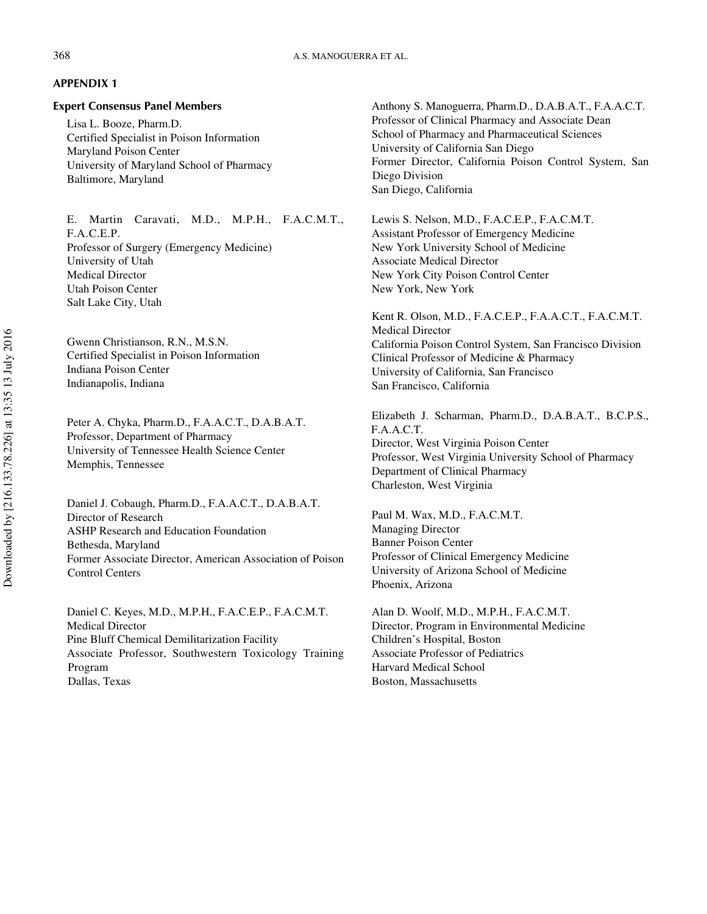### **APPENDIX 1**

### **Expert Consensus Panel Members**

Lisa L. Booze, Pharm.D. Certified Specialist in Poison Information Maryland Poison Center University of Maryland School of Pharmacy Baltimore, Maryland

E. Martin Caravati, M.D., M.P.H., F.A.C.M.T., F.A.C.E.P. Professor of Surgery (Emergency Medicine) University of Utah Medical Director Utah Poison Center Salt Lake City, Utah

Gwenn Christianson, R.N., M.S.N. Certified Specialist in Poison Information Indiana Poison Center Indianapolis, Indiana

Peter A. Chyka, Pharm.D., F.A.A.C.T., D.A.B.A.T. Professor, Department of Pharmacy University of Tennessee Health Science Center Memphis, Tennessee

Daniel J. Cobaugh, Pharm.D., F.A.A.C.T., D.A.B.A.T. Director of Research ASHP Research and Education Foundation Bethesda, Maryland Former Associate Director, American Association of Poison Control Centers

Daniel C. Keyes, M.D., M.P.H., F.A.C.E.P., F.A.C.M.T. Medical Director Pine Bluff Chemical Demilitarization Facility Associate Professor, Southwestern Toxicology Training Program Dallas, Texas

Anthony S. Manoguerra, Pharm.D., D.A.B.A.T., F.A.A.C.T. Professor of Clinical Pharmacy and Associate Dean School of Pharmacy and Pharmaceutical Sciences University of California San Diego Former Director, California Poison Control System, San Diego Division San Diego, California

Lewis S. Nelson, M.D., F.A.C.E.P., F.A.C.M.T. Assistant Professor of Emergency Medicine New York University School of Medicine Associate Medical Director New York City Poison Control Center New York, New York

Kent R. Olson, M.D., F.A.C.E.P., F.A.A.C.T., F.A.C.M.T. Medical Director California Poison Control System, San Francisco Division Clinical Professor of Medicine & Pharmacy University of California, San Francisco San Francisco, California

Elizabeth J. Scharman, Pharm.D., D.A.B.A.T., B.C.P.S., F.A.A.C.T. Director, West Virginia Poison Center Professor, West Virginia University School of Pharmacy Department of Clinical Pharmacy Charleston, West Virginia

Paul M. Wax, M.D., F.A.C.M.T. Managing Director Banner Poison Center Professor of Clinical Emergency Medicine University of Arizona School of Medicine Phoenix, Arizona

Alan D. Woolf, M.D., M.P.H., F.A.C.M.T. Director, Program in Environmental Medicine Children's Hospital, Boston Associate Professor of Pediatrics Harvard Medical School Boston, Massachusetts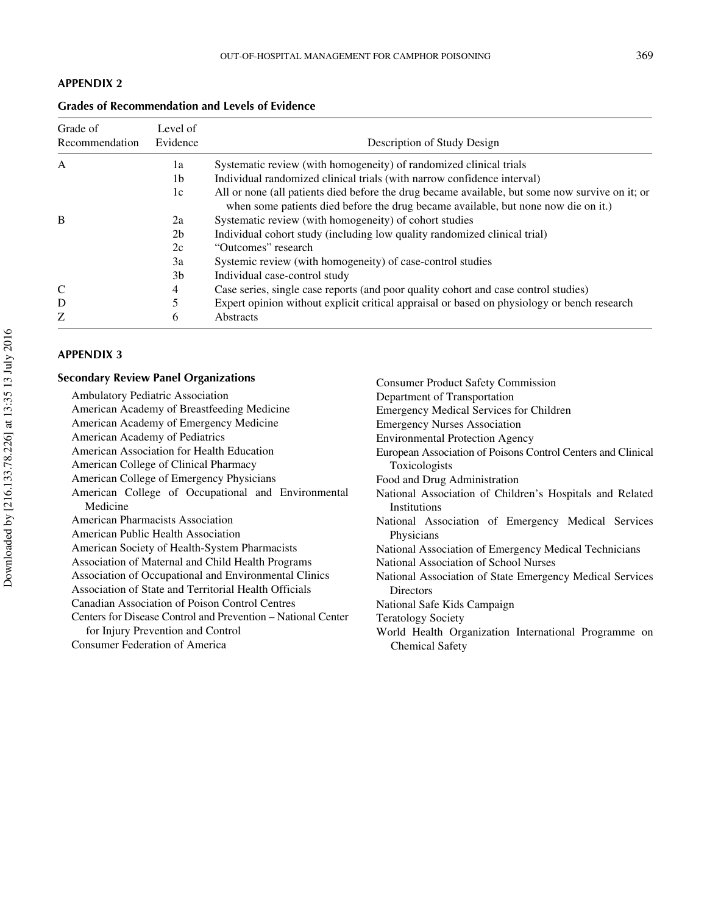### **APPENDIX 2**

| Grade of<br>Recommendation | Level of<br>Evidence | Description of Study Design                                                                                                                                                           |
|----------------------------|----------------------|---------------------------------------------------------------------------------------------------------------------------------------------------------------------------------------|
| $\mathbf{A}$               | 1a                   | Systematic review (with homogeneity) of randomized clinical trials                                                                                                                    |
|                            | 1b                   | Individual randomized clinical trials (with narrow confidence interval)                                                                                                               |
|                            | 1c                   | All or none (all patients died before the drug became available, but some now survive on it; or<br>when some patients died before the drug became available, but none now die on it.) |
| B                          | 2a                   | Systematic review (with homogeneity) of cohort studies                                                                                                                                |
|                            | 2 <sub>b</sub>       | Individual cohort study (including low quality randomized clinical trial)                                                                                                             |
|                            | 2c                   | "Outcomes" research                                                                                                                                                                   |
|                            | 3a                   | Systemic review (with homogeneity) of case-control studies                                                                                                                            |
|                            | 3b                   | Individual case-control study                                                                                                                                                         |
| $\mathcal{C}$              | 4                    | Case series, single case reports (and poor quality cohort and case control studies)                                                                                                   |
| D                          |                      | Expert opinion without explicit critical appraisal or based on physiology or bench research                                                                                           |
| Z                          | 6                    | Abstracts                                                                                                                                                                             |

### **APPENDIX 3**

### **Secondary Review Panel Organizations**

| condary Review Panel Organizations                           | <b>Consumer Product Safety Commission</b>                    |
|--------------------------------------------------------------|--------------------------------------------------------------|
| <b>Ambulatory Pediatric Association</b>                      | Department of Transportation                                 |
| American Academy of Breastfeeding Medicine                   | <b>Emergency Medical Services for Children</b>               |
| American Academy of Emergency Medicine                       | <b>Emergency Nurses Association</b>                          |
| American Academy of Pediatrics                               | <b>Environmental Protection Agency</b>                       |
| American Association for Health Education                    | European Association of Poisons Control Centers and Clinical |
| American College of Clinical Pharmacy                        | Toxicologists                                                |
| American College of Emergency Physicians                     | Food and Drug Administration                                 |
| American College of Occupational and Environmental           | National Association of Children's Hospitals and Related     |
| Medicine                                                     | Institutions                                                 |
| <b>American Pharmacists Association</b>                      | National Association of Emergency Medical Services           |
| American Public Health Association                           | Physicians                                                   |
| American Society of Health-System Pharmacists                | National Association of Emergency Medical Technicians        |
| Association of Maternal and Child Health Programs            | National Association of School Nurses                        |
| Association of Occupational and Environmental Clinics        | National Association of State Emergency Medical Services     |
| Association of State and Territorial Health Officials        | <b>Directors</b>                                             |
| <b>Canadian Association of Poison Control Centres</b>        | National Safe Kids Campaign                                  |
| Centers for Disease Control and Prevention – National Center | <b>Teratology Society</b>                                    |
| for Injury Prevention and Control                            | World Health Organization International Programme on         |
| <b>Consumer Federation of America</b>                        | <b>Chemical Safety</b>                                       |
|                                                              |                                                              |